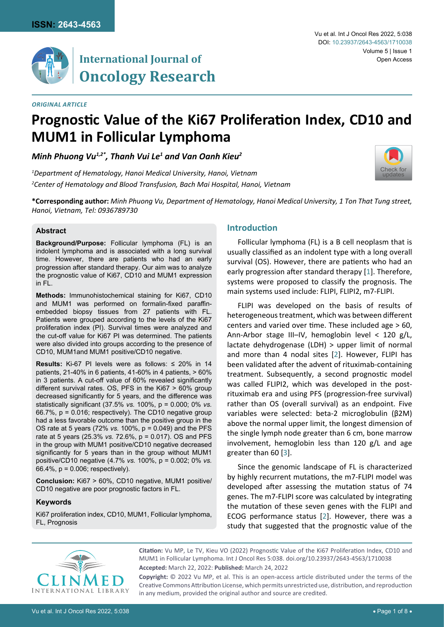

# **International Journal of Oncology Research**

#### *Original Article*

#### Vu et al. Int J Oncol Res 2022, 5:038 Volume 5 | Issue 1 DOI: [10.23937/2643-4563/1710038](https://doi.org/10.23937/2643-4563/1710038) Open Access

[Check for](http://crossmark.crossref.org/dialog/?doi=10.23937/2643-4563/1710038&domain=pdf) updates

# **Prognostic Value of the Ki67 Proliferation Index, CD10 and MUM1 in Follicular Lymphoma**

# *Minh Phuong Vu1,2\*, Thanh Vui Le1 and Van Oanh Kieu2*

*1 Department of Hematology, Hanoi Medical University, Hanoi, Vietnam 2 Center of Hematology and Blood Transfusion, Bach Mai Hospital, Hanoi, Vietnam*

**\*Corresponding author:** *Minh Phuong Vu, Department of Hematology, Hanoi Medical University, 1 Ton That Tung street, Hanoi, Vietnam, Tel: 0936789730*

#### **Abstract**

**Background/Purpose:** Follicular lymphoma (FL) is an indolent lymphoma and is associated with a long survival time. However, there are patients who had an early progression after standard therapy. Our aim was to analyze the prognostic value of Ki67, CD10 and MUM1 expression in FL.

**Methods:** Immunohistochemical staining for Ki67, CD10 and MUM1 was performed on formalin-fixed paraffinembedded biopsy tissues from 27 patients with FL. Patients were grouped according to the levels of the Ki67 proliferation index (PI). Survival times were analyzed and the cut-off value for Ki67 PI was determined. The patients were also divided into groups according to the presence of CD10, MUM1and MUM1 positive/CD10 negative.

**Results:** Ki-67 PI levels were as follows: ≤ 20% in 14 patients, 21-40% in 6 patients, 41-60% in 4 patients, > 60% in 3 patients. A cut-off value of 60% revealed significantly different survival rates. OS, PFS in the Ki67 > 60% group decreased significantly for 5 years, and the difference was statistically significant (37.5% *vs.* 100%, p = 0.000; 0% *vs.* 66.7%, p = 0.016; respectively). The CD10 negative group had a less favorable outcome than the positive group in the OS rate at 5 years (72% *vs.* 100%, p = 0.049) and the PFS rate at 5 years (25.3% *vs.* 72.6%, p = 0.017). OS and PFS in the group with MUM1 positive/CD10 negative decreased significantly for 5 years than in the group without MUM1 positive/CD10 negative (4.7% *vs.* 100%, p = 0.002; 0% *vs.* 66.4%, p = 0.006; respectively).

**Conclusion:** Ki67 > 60%, CD10 negative, MUM1 positive/ CD10 negative are poor prognostic factors in FL.

#### **Keywords**

Ki67 proliferation index, CD10, MUM1, Follicular lymphoma, FL, Prognosis

## **Introduction**

Follicular lymphoma (FL) is a B cell neoplasm that is usually classified as an indolent type with a long overall survival (OS). However, there are patients who had an early progression after standard therapy [\[1\]](#page-7-0). Therefore, systems were proposed to classify the prognosis. The main systems used include: FLIPI, FLIPI2, m7-FLIPI.

FLIPI was developed on the basis of results of heterogeneous treatment, which was between different centers and varied over time. These included age > 60, Ann-Arbor stage III–IV, hemoglobin level < 120 g/L, lactate dehydrogenase (LDH) > upper limit of normal and more than 4 nodal sites [[2](#page-7-1)]. However, FLIPI has been validated after the advent of rituximab-containing treatment. Subsequently, a second prognostic model was called FLIPI2, which was developed in the postrituximab era and using PFS (progression-free survival) rather than OS (overall survival) as an endpoint. Five variables were selected: beta-2 microglobulin (β2M) above the normal upper limit, the longest dimension of the single lymph node greater than 6 cm, bone marrow involvement, hemoglobin less than 120 g/L and age greater than 60 [[3\]](#page-7-2).

Since the genomic landscape of FL is characterized by highly recurrent mutations, the m7-FLIPI model was developed after assessing the mutation status of 74 genes. The m7-FLIPI score was calculated by integrating the mutation of these seven genes with the FLIPI and ECOG performance status [[2](#page-7-1)]. However, there was a study that suggested that the prognostic value of the



**Citation:** Vu MP, Le TV, Kieu VO (2022) Prognostic Value of the Ki67 Proliferation Index, CD10 and MUM1 in Follicular Lymphoma. Int J Oncol Res 5:038. [doi.org/10.23937/2643-4563/1710038](https://doi.org/10.23937/2643-4563/1710038) **Accepted:** March 22, 2022: **Published:** March 24, 2022

**Copyright:** © 2022 Vu MP, et al. This is an open-access article distributed under the terms of the Creative Commons Attribution License, which permits unrestricted use, distribution, and reproduction in any medium, provided the original author and source are credited.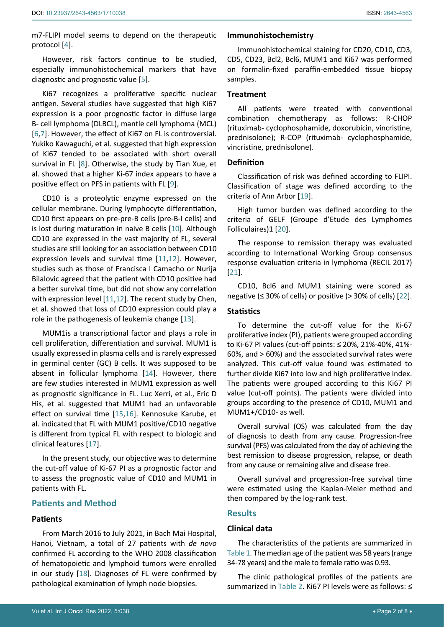m7-FLIPI model seems to depend on the therapeutic protocol [\[4\]](#page-7-7).

However, risk factors continue to be studied, especially immunohistochemical markers that have diagnostic and prognostic value [\[5\]](#page-7-8).

Ki67 recognizes a proliferative specific nuclear antigen. Several studies have suggested that high Ki67 expression is a poor prognostic factor in diffuse large B- cell lymphoma (DLBCL), mantle cell lymphoma (MCL) [[6](#page-7-9),[7\]](#page-7-10). However, the effect of Ki67 on FL is controversial. Yukiko Kawaguchi, et al. suggested that high expression of Ki67 tended to be associated with short overall survival in FL [\[8\]](#page-7-11). Otherwise, the study by Tian Xue, et al. showed that a higher Ki-67 index appears to have a positive effect on PFS in patients with FL [\[9\]](#page-7-12).

CD10 is a proteolytic enzyme expressed on the cellular membrane. During lymphocyte differentiation, CD10 first appears on pre-pre-B cells (pre-B-I cells) and is lost during maturation in naive B cells [\[10\]](#page-7-13). Although CD10 are expressed in the vast majority of FL, several studies are still looking for an association between CD10 expression levels and survival time [\[11](#page-7-14),[12](#page-7-15)]. However, studies such as those of Francisca I Camacho or Nurija Bilalovic agreed that the patient with CD10 positive had a better survival time, but did not show any correlation with expression level [[11](#page-7-14),[12\]](#page-7-15). The recent study by Chen, et al. showed that loss of CD10 expression could play a role in the pathogenesis of leukemia change [[13\]](#page-7-16).

MUM1is a transcriptional factor and plays a role in cell proliferation, differentiation and survival. MUM1 is usually expressed in plasma cells and is rarely expressed in germinal center (GC) B cells. It was supposed to be absent in follicular lymphoma [\[14](#page-7-17)]. However, there are few studies interested in MUM1 expression as well as prognostic significance in FL. Luc Xerri, et al., Eric D His, et al. suggested that MUM1 had an unfavorable effect on survival time [\[15](#page-7-18),[16](#page-7-19)]. Kennosuke Karube, et al. indicated that FL with MUM1 positive/CD10 negative is different from typical FL with respect to biologic and clinical features [\[17\]](#page-7-20).

In the present study, our objective was to determine the cut-off value of Ki-67 PI as a prognostic factor and to assess the prognostic value of CD10 and MUM1 in patients with FL.

#### **Patients and Method**

#### **Patients**

From March 2016 to July 2021, in Bach Mai Hospital, Hanoi, Vietnam, a total of 27 patients with *de novo* confirmed FL according to the WHO 2008 classification of hematopoietic and lymphoid tumors were enrolled in our study [[18](#page-7-21)]. Diagnoses of FL were confirmed by pathological examination of lymph node biopsies.

#### **Immunohistochemistry**

Immunohistochemical staining for CD20, CD10, CD3, CD5, CD23, Bcl2, Bcl6, MUM1 and Ki67 was performed on formalin-fixed paraffin-embedded tissue biopsy samples.

#### **Treatment**

All patients were treated with conventional combination chemotherapy as follows: R-CHOP (rituximab- cyclophosphamide, doxorubicin, vincristine, prednisolone); R-COP (rituximab- cyclophosphamide, vincristine, prednisolone).

#### **Definition**

Classification of risk was defined according to FLIPI. Classification of stage was defined according to the criteria of Ann Arbor [[19\]](#page-7-3).

High tumor burden was defined according to the criteria of GELF (Groupe d'Etude des Lymphomes Folliculaires)1 [[20](#page-7-4)].

The response to remission therapy was evaluated according to International Working Group consensus response evaluation criteria in lymphoma (RECIL 2017) [\[21](#page-7-5)].

CD10, Bcl6 and MUM1 staining were scored as negative ( $\leq$  30% of cells) or positive ( $>$  30% of cells) [[22](#page-7-6)].

#### **Statistics**

To determine the cut-off value for the Ki-67 proliferative index (PI), patients were grouped according to Ki-67 PI values (cut-off points: ≤ 20%, 21%-40%, 41%- 60%, and > 60%) and the associated survival rates were analyzed. This cut-off value found was estimated to further divide Ki67 into low and high proliferative index. The patients were grouped according to this Ki67 PI value (cut-off points). The patients were divided into groups according to the presence of CD10, MUM1 and MUM1+/CD10- as well.

Overall survival (OS) was calculated from the day of diagnosis to death from any cause. Progression-free survival (PFS) was calculated from the day of achieving the best remission to disease progression, relapse, or death from any cause or remaining alive and disease free.

Overall survival and progression-free survival time were estimated using the Kaplan-Meier method and then compared by the log-rank test.

### **Results**

#### **Clinical data**

The characteristics of the patients are summarized in [Table 1](#page-2-0). The median age of the patient was 58 years (range 34-78 years) and the male to female ratio was 0.93.

The clinic pathological profiles of the patients are summarized in [Table 2.](#page-2-1) Ki67 PI levels were as follows: ≤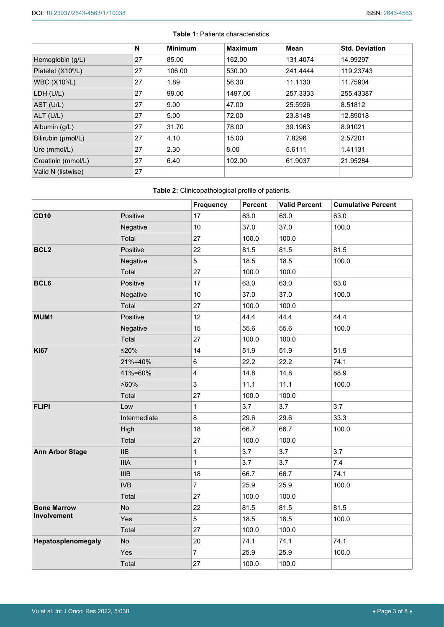|                                | N  | <b>Minimum</b> | <b>Maximum</b> | Mean     | <b>Std. Deviation</b> |
|--------------------------------|----|----------------|----------------|----------|-----------------------|
| Hemoglobin (g/L)               | 27 | 85.00          | 162.00         | 131.4074 | 14.99297              |
| Platelet (X10 <sup>9</sup> /L) | 27 | 106.00         | 530.00         | 241.4444 | 119.23743             |
| WBC $(X109/L)$                 | 27 | 1.89           | 56.30          | 11.1130  | 11.75904              |
| LDH (U/L)                      | 27 | 99.00          | 1497.00        | 257.3333 | 255.43387             |
| AST (U/L)                      | 27 | 9.00           | 47.00          | 25.5926  | 8.51812               |
| $ALT$ (U/L)                    | 27 | 5.00           | 72.00          | 23.8148  | 12.89018              |
| Albumin (g/L)                  | 27 | 31.70          | 78.00          | 39.1963  | 8.91021               |
| Bilirubin (µmol/L)             | 27 | 4.10           | 15.00          | 7.8296   | 2.57201               |
| Ure (mmol/L)                   | 27 | 2.30           | 8.00           | 5.6111   | 1.41131               |
| Creatinin (mmol/L)             | 27 | 6.40           | 102.00         | 61.9037  | 21.95284              |
| Valid N (listwise)             | 27 |                |                |          |                       |

<span id="page-2-0"></span>**Table 1:** Patients characteristics.

### <span id="page-2-1"></span>**Table 2:** Clinicopathological profile of patients.

|                                   |              | Frequency               | Percent | <b>Valid Percent</b> | <b>Cumulative Percent</b> |
|-----------------------------------|--------------|-------------------------|---------|----------------------|---------------------------|
| <b>CD10</b>                       | Positive     | 17                      | 63.0    | 63.0                 | 63.0                      |
|                                   | Negative     | 10                      | 37.0    | 37.0                 | 100.0                     |
|                                   | Total        | 27                      | 100.0   | 100.0                |                           |
| BCL <sub>2</sub>                  | Positive     | 22                      | 81.5    | 81.5                 | 81.5                      |
|                                   | Negative     | 5                       | 18.5    | 18.5                 | 100.0                     |
|                                   | Total        | 27                      | 100.0   | 100.0                |                           |
| BCL6                              | Positive     | 17                      | 63.0    | 63.0                 | 63.0                      |
|                                   | Negative     | $10$                    | 37.0    | 37.0                 | 100.0                     |
|                                   | Total        | 27                      | 100.0   | 100.0                |                           |
| MUM1                              | Positive     | 12                      | 44.4    | 44.4                 | 44.4                      |
|                                   | Negative     | 15                      | 55.6    | 55.6                 | 100.0                     |
|                                   | Total        | 27                      | 100.0   | 100.0                |                           |
| <b>Ki67</b>                       | $≤20%$       | 14                      | 51.9    | 51.9                 | 51.9                      |
|                                   | 21%=40%      | 6                       | 22.2    | 22.2                 | 74.1                      |
|                                   | 41%=60%      | $\overline{\mathbf{4}}$ | 14.8    | 14.8                 | 88.9                      |
|                                   | $>60\%$      | 3                       | 11.1    | 11.1                 | 100.0                     |
|                                   | Total        | 27                      | 100.0   | 100.0                |                           |
| <b>FLIPI</b>                      | Low          | $\mathbf 1$             | 3.7     | 3.7                  | 3.7                       |
|                                   | Intermediate | 8                       | 29.6    | 29.6                 | 33.3                      |
|                                   | High         | 18                      | 66.7    | 66.7                 | 100.0                     |
|                                   | Total        | 27                      | 100.0   | 100.0                |                           |
| <b>Ann Arbor Stage</b>            | <b>IIB</b>   | 1                       | 3.7     | 3.7                  | 3.7                       |
|                                   | <b>IIIA</b>  | 1                       | 3.7     | 3.7                  | 7.4                       |
|                                   | IIIB         | 18                      | 66.7    | 66.7                 | 74.1                      |
|                                   | <b>IVB</b>   | $\overline{7}$          | 25.9    | 25.9                 | 100.0                     |
|                                   | Total        | 27                      | 100.0   | 100.0                |                           |
| <b>Bone Marrow</b><br>Involvement | No           | 22                      | 81.5    | 81.5                 | 81.5                      |
|                                   | Yes          | 5                       | 18.5    | 18.5                 | 100.0                     |
|                                   | Total        | 27                      | 100.0   | 100.0                |                           |
| Hepatosplenomegaly                | No           | 20                      | 74.1    | 74.1                 | 74.1                      |
|                                   | Yes          | $\overline{7}$          | 25.9    | 25.9                 | 100.0                     |
|                                   | Total        | 27                      | 100.0   | 100.0                |                           |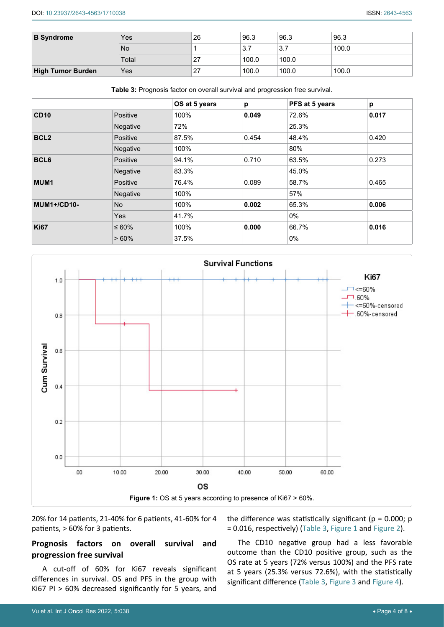| <b>B</b> Syndrome        | Yes       | 26 | 96.3              | 96.3       | 96.3  |
|--------------------------|-----------|----|-------------------|------------|-------|
|                          | <b>No</b> |    | <u>ລ 7</u><br>، ب | o 7<br>ن ب | 100.0 |
|                          | Total     | 27 | 100.0             | 100.0      |       |
| <b>High Tumor Burden</b> | Yes       | 27 | 100.0             | 100.0      | 100.0 |

<span id="page-3-0"></span>**Table 3:** Prognosis factor on overall survival and progression free survival.

|                    |             | OS at 5 years | p     | PFS at 5 years | р     |
|--------------------|-------------|---------------|-------|----------------|-------|
| <b>CD10</b>        | Positive    | 100%          | 0.049 | 72.6%          | 0.017 |
|                    | Negative    | 72%           |       | 25.3%          |       |
| BCL <sub>2</sub>   | Positive    | 87.5%         | 0.454 | 48.4%          | 0.420 |
|                    | Negative    | 100%          |       | 80%            |       |
| BCL6               | Positive    | 94.1%         | 0.710 | 63.5%          | 0.273 |
|                    | Negative    | 83.3%         |       | 45.0%          |       |
| MUM1               | Positive    | 76.4%         | 0.089 | 58.7%          | 0.465 |
|                    | Negative    | 100%          |       | 57%            |       |
| <b>MUM1+/CD10-</b> | <b>No</b>   | 100%          | 0.002 | 65.3%          | 0.006 |
|                    | <b>Yes</b>  | 41.7%         |       | $0\%$          |       |
| <b>Ki67</b>        | $\leq 60\%$ | 100%          | 0.000 | 66.7%          | 0.016 |
|                    | >60%        | 37.5%         |       | $0\%$          |       |

<span id="page-3-1"></span>

20% for 14 patients, 21-40% for 6 patients, 41-60% for 4 patients, > 60% for 3 patients.

# **Prognosis factors on overall survival and progression free survival**

A cut-off of 60% for Ki67 reveals significant differences in survival. OS and PFS in the group with Ki67 PI > 60% decreased significantly for 5 years, and

the difference was statistically significant ( $p = 0.000$ ;  $p = 0.000$ ) = 0.016, respectively) ([Table 3](#page-3-0), [Figure 1](#page-3-1) and [Figure 2](#page-4-0)).

The CD10 negative group had a less favorable outcome than the CD10 positive group, such as the OS rate at 5 years (72% versus 100%) and the PFS rate at 5 years (25.3% versus 72.6%), with the statistically significant difference ([Table 3](#page-3-0), [Figure 3](#page-4-1) and [Figure 4](#page-5-0)).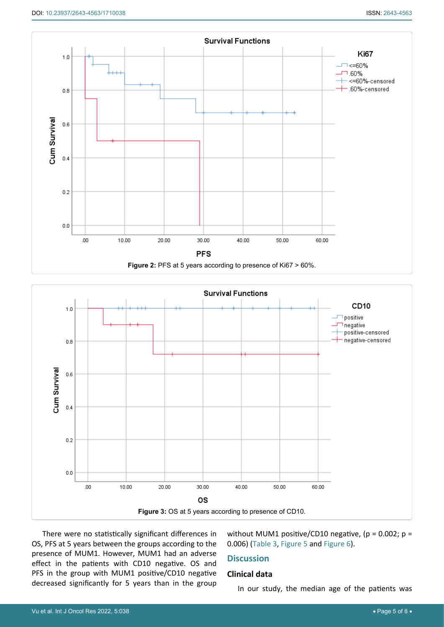<span id="page-4-0"></span>

<span id="page-4-1"></span>

There were no statistically significant differences in OS, PFS at 5 years between the groups according to the presence of MUM1. However, MUM1 had an adverse effect in the patients with CD10 negative. OS and PFS in the group with MUM1 positive/CD10 negative decreased significantly for 5 years than in the group

without MUM1 positive/CD10 negative, ( $p = 0.002$ ;  $p =$ 0.006) ([Table 3](#page-3-0), [Figure 5](#page-5-1) and [Figure 6](#page-6-0)).

# **Discussion**

#### **Clinical data**

In our study, the median age of the patients was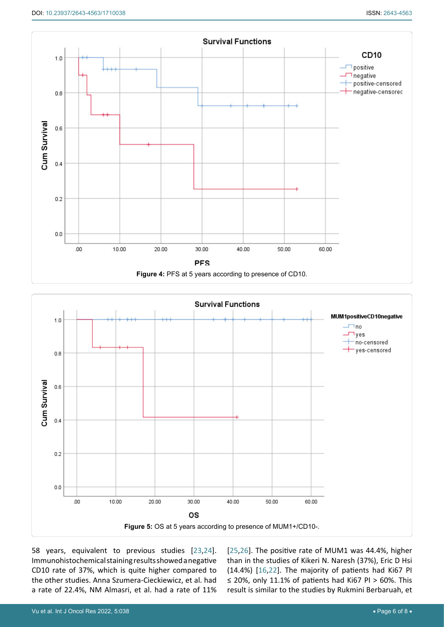<span id="page-5-0"></span>

<span id="page-5-1"></span>

58 years, equivalent to previous studies [\[23](#page-7-24),[24](#page-7-25)]. Immunohistochemical staining results showed a negative CD10 rate of 37%, which is quite higher compared to the other studies. Anna Szumera-Cieckiewicz, et al. had a rate of 22.4%, NM Almasri, et al. had a rate of 11% [\[25](#page-7-22),[26](#page-7-23)]. The positive rate of MUM1 was 44.4%, higher than in the studies of Kikeri N. Naresh (37%), Eric D Hsi (14.4%) [[16](#page-7-19)[,22](#page-7-6)]. The majority of patients had Ki67 PI ≤ 20%, only 11.1% of patients had Ki67 PI > 60%. This result is similar to the studies by Rukmini Berbaruah, et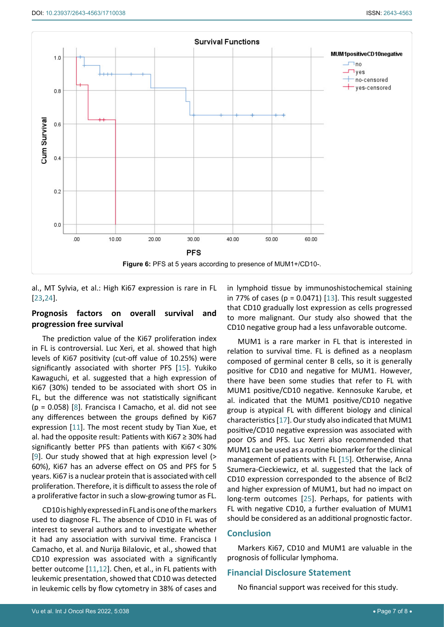<span id="page-6-0"></span>

al., MT Sylvia, et al.: High Ki67 expression is rare in FL [[23](#page-7-24),[24\]](#page-7-25).

## **Prognosis factors on overall survival and progression free survival**

The prediction value of the Ki67 proliferation index in FL is controversial. Luc Xeri, et al. showed that high levels of Ki67 positivity (cut-off value of 10.25%) were significantly associated with shorter PFS [[15\]](#page-7-18). Yukiko Kawaguchi, et al. suggested that a high expression of Ki67 (30%) tended to be associated with short OS in FL, but the difference was not statistically significant  $(p = 0.058)$  [\[8\]](#page-7-11). Francisca I Camacho, et al. did not see any differences between the groups defined by Ki67 expression [[11\]](#page-7-14). The most recent study by Tian Xue, et al. had the opposite result: Patients with Ki67 ≥ 30% had significantly better PFS than patients with Ki67 < 30% [[9](#page-7-12)]. Our study showed that at high expression level (> 60%), Ki67 has an adverse effect on OS and PFS for 5 years. Ki67 is a nuclear protein that is associated with cell proliferation. Therefore, it is difficult to assess the role of a proliferative factor in such a slow-growing tumor as FL.

CD10 is highly expressed in FL and is one of the markers used to diagnose FL. The absence of CD10 in FL was of interest to several authors and to investigate whether it had any association with survival time. Francisca I Camacho, et al. and Nurija Bilalovic, et al., showed that CD10 expression was associated with a significantly better outcome [[11](#page-7-14),[12\]](#page-7-15). Chen, et al., in FL patients with leukemic presentation, showed that CD10 was detected in leukemic cells by flow cytometry in 38% of cases and

in lymphoid tissue by immunoshistochemical staining in 77% of cases ( $p = 0.0471$ ) [[13](#page-7-16)]. This result suggested that CD10 gradually lost expression as cells progressed to more malignant. Our study also showed that the CD10 negative group had a less unfavorable outcome.

MUM1 is a rare marker in FL that is interested in relation to survival time. FL is defined as a neoplasm composed of germinal center B cells, so it is generally positive for CD10 and negative for MUM1. However, there have been some studies that refer to FL with MUM1 positive/CD10 negative. Kennosuke Karube, et al. indicated that the MUM1 positive/CD10 negative group is atypical FL with different biology and clinical characteristics [\[17](#page-7-20)]. Our study also indicated that MUM1 positive/CD10 negative expression was associated with poor OS and PFS. Luc Xerri also recommended that MUM1 can be used as a routine biomarker for the clinical management of patients with FL [\[15\]](#page-7-18). Otherwise, Anna Szumera-Cieckiewicz, et al. suggested that the lack of CD10 expression corresponded to the absence of Bcl2 and higher expression of MUM1, but had no impact on long-term outcomes [[25](#page-7-22)]. Perhaps, for patients with FL with negative CD10, a further evaluation of MUM1 should be considered as an additional prognostic factor.

## **Conclusion**

Markers Ki67, CD10 and MUM1 are valuable in the prognosis of follicular lymphoma.

## **Financial Disclosure Statement**

No financial support was received for this study.